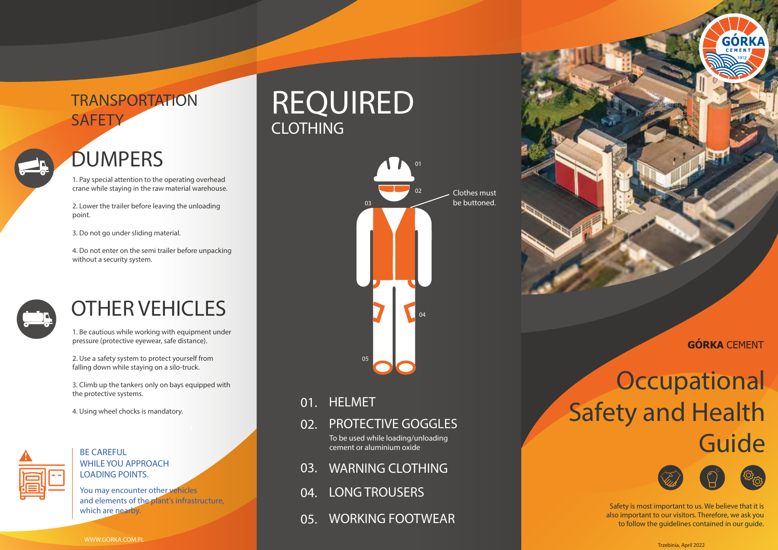### *TRANSPORTATION SAFETY*

### *DUMPERS*

1. Pay special attention to the operating overhead crane while staying in the raw material warehouse.

2. Lower the trailer before leaving the unloading point.

3. Do not go under sliding material.

4. Do not enter on the semi trailer before unpacking without a security system.



### *OTHER VEHICLES*

1. Be cautious while working with equipment under pressure (protective eyewear, safe distance).

2. Use a safety system to protect yourself from falling down while staying on a silo-truck.

3. Climb up the tankers only on bays equipped with the protective systems.

4. Using wheel chocks is mandatory.



#### **!** *BE CAREFUL WHILE YOU APPROACH LOADING POINTS.*

*You may encounter other vehicles and elements of the plant's infrastructure, which are nearby.*

## *REQUIRED CLOTHING*



- *01. HELMET*
- *02. PROTECTIVE GOGGLES* To be used while loading/unloading cement or aluminium oxide
- *03. WARNING CLOTHING*
- *04. LONG TROUSERS*
- *05. WORKING FOOTWEAR*



**GÓRKA** CEMENT

## *Occupational Safety and Health Guide*



Safety is most important to us. We believe that it is also important to our visitors. Therefore, we ask you to follow the guidelines contained in our guide.